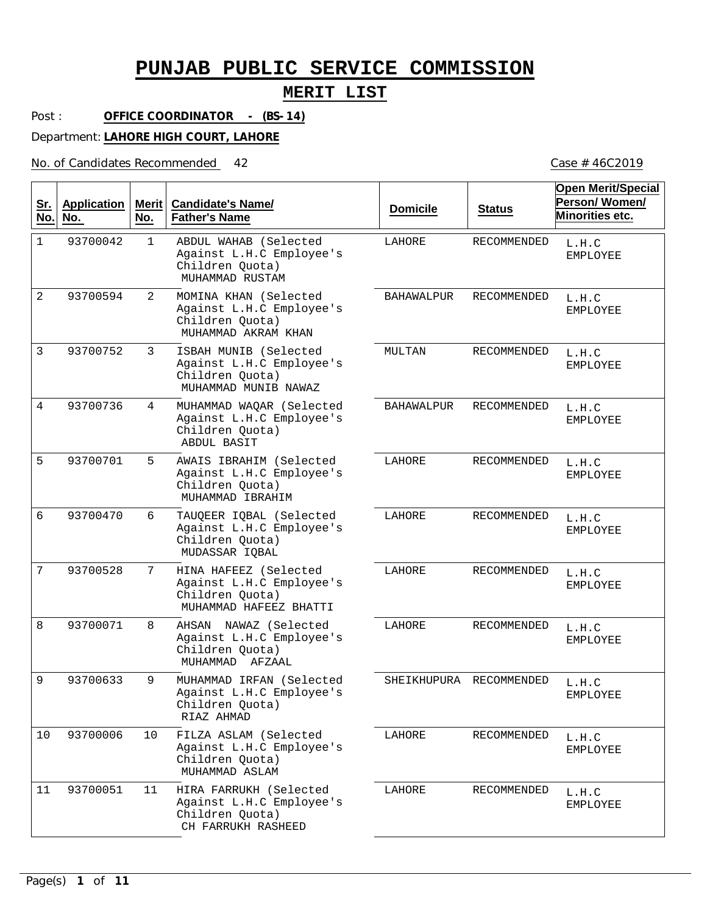## **MERIT LIST**

Post : **OFFICE COORDINATOR - (BS-14)**

Department: **LAHORE HIGH COURT, LAHORE**

No. of Candidates Recommended

| <u>Sr.</u><br>No. | <b>Application</b><br>No. | Merit<br>No.   | <b>Candidate's Name/</b><br><b>Father's Name</b>                                               | <b>Domicile</b>   | <b>Status</b>      | <b>Open Merit/Special</b><br>Person/Women/<br>Minorities etc. |
|-------------------|---------------------------|----------------|------------------------------------------------------------------------------------------------|-------------------|--------------------|---------------------------------------------------------------|
| $\mathbf{1}$      | 93700042                  | $\mathbf{1}$   | ABDUL WAHAB (Selected<br>Against L.H.C Employee's<br>Children Quota)<br>MUHAMMAD RUSTAM        | LAHORE            | RECOMMENDED        | L.H.C<br>EMPLOYEE                                             |
| $\overline{2}$    | 93700594                  | $\overline{2}$ | MOMINA KHAN (Selected<br>Against L.H.C Employee's<br>Children Quota)<br>MUHAMMAD AKRAM KHAN    | <b>BAHAWALPUR</b> | RECOMMENDED        | L.H.C<br>EMPLOYEE                                             |
| 3                 | 93700752                  | 3              | ISBAH MUNIB (Selected<br>Against L.H.C Employee's<br>Children Quota)<br>MUHAMMAD MUNIB NAWAZ   | MULTAN            | RECOMMENDED        | L.H.C<br><b>EMPLOYEE</b>                                      |
| $\overline{4}$    | 93700736                  | 4              | MUHAMMAD WAQAR (Selected<br>Against L.H.C Employee's<br>Children Quota)<br>ABDUL BASIT         | <b>BAHAWALPUR</b> | RECOMMENDED        | L.H.C<br><b>EMPLOYEE</b>                                      |
| 5                 | 93700701                  | 5              | AWAIS IBRAHIM (Selected<br>Against L.H.C Employee's<br>Children Quota)<br>MUHAMMAD IBRAHIM     | LAHORE            | RECOMMENDED        | L.H.C<br><b>EMPLOYEE</b>                                      |
| 6                 | 93700470                  | 6              | TAUQEER IQBAL (Selected<br>Against L.H.C Employee's<br>Children Quota)<br>MUDASSAR IQBAL       | LAHORE            | RECOMMENDED        | L.H.C<br><b>EMPLOYEE</b>                                      |
| 7                 | 93700528                  | 7              | HINA HAFEEZ (Selected<br>Against L.H.C Employee's<br>Children Quota)<br>MUHAMMAD HAFEEZ BHATTI | LAHORE            | RECOMMENDED        | L.H.C<br><b>EMPLOYEE</b>                                      |
| 8                 | 93700071                  | 8              | AHSAN NAWAZ (Selected<br>Against L.H.C Employee's<br>Children Quota)<br>MUHAMMAD AFZAAL        | LAHORE            | <b>RECOMMENDED</b> | L.H.C<br><b>EMPLOYEE</b>                                      |
| 9                 | 93700633                  | 9              | MUHAMMAD IRFAN (Selected<br>Against L.H.C Employee's<br>Children Quota)<br>RIAZ AHMAD          | SHEIKHUPURA       | RECOMMENDED        | $\tt L.H.C$<br>EMPLOYEE                                       |
| 10                | 93700006                  | 10             | FILZA ASLAM (Selected<br>Against L.H.C Employee's<br>Children Quota)<br>MUHAMMAD ASLAM         | LAHORE            | RECOMMENDED        | L.H.C<br>EMPLOYEE                                             |
| 11                | 93700051                  | 11             | HIRA FARRUKH (Selected<br>Against L.H.C Employee's<br>Children Quota)<br>CH FARRUKH RASHEED    | LAHORE            | RECOMMENDED        | L.H.C<br>EMPLOYEE                                             |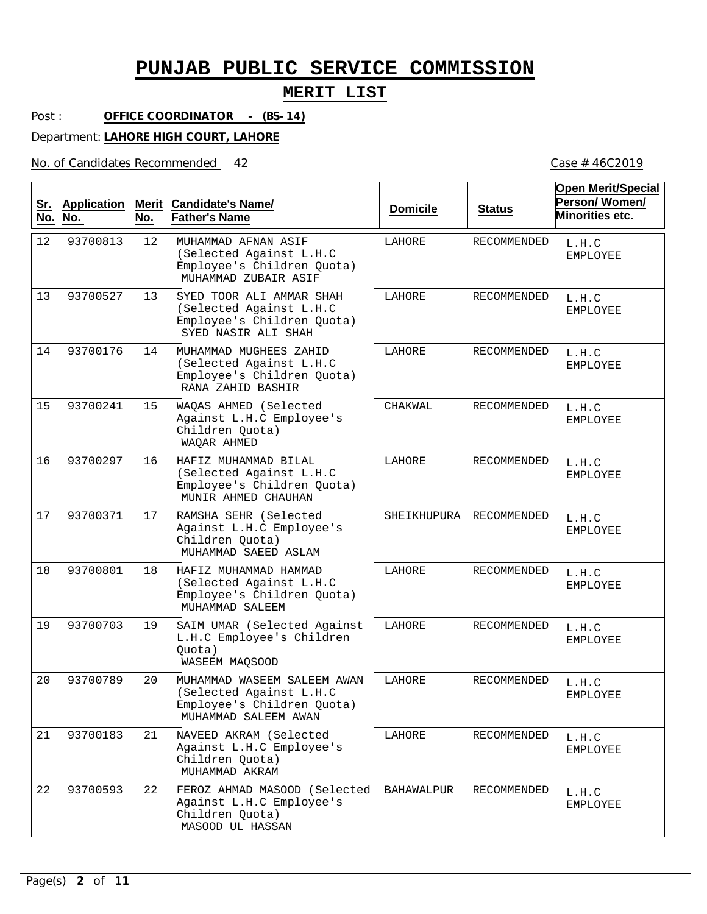## **MERIT LIST**

Post : **OFFICE COORDINATOR - (BS-14)**

Department: **LAHORE HIGH COURT, LAHORE**

No. of Candidates Recommended

| <u>Sr.</u><br>No. | <b>Application</b><br>No. | Merit<br>No. | <b>Candidate's Name/</b><br><b>Father's Name</b>                                                             | <b>Domicile</b> | <b>Status</b>           | <b>Open Merit/Special</b><br>Person/Women/<br>Minorities etc. |
|-------------------|---------------------------|--------------|--------------------------------------------------------------------------------------------------------------|-----------------|-------------------------|---------------------------------------------------------------|
| 12                | 93700813                  | 12           | MUHAMMAD AFNAN ASIF<br>(Selected Against L.H.C<br>Employee's Children Quota)<br>MUHAMMAD ZUBAIR ASIF         | LAHORE          | RECOMMENDED             | L.H.C<br><b>EMPLOYEE</b>                                      |
| 13                | 93700527                  | 13           | SYED TOOR ALI AMMAR SHAH<br>(Selected Against L.H.C<br>Employee's Children Quota)<br>SYED NASIR ALI SHAH     | LAHORE          | RECOMMENDED             | L.H.C<br><b>EMPLOYEE</b>                                      |
| 14                | 93700176                  | 14           | MUHAMMAD MUGHEES ZAHID<br>(Selected Against L.H.C<br>Employee's Children Quota)<br>RANA ZAHID BASHIR         | LAHORE          | RECOMMENDED             | L.H.C<br><b>EMPLOYEE</b>                                      |
| 15                | 93700241                  | 15           | WAQAS AHMED (Selected<br>Against L.H.C Employee's<br>Children Quota)<br>WAQAR AHMED                          | CHAKWAL         | RECOMMENDED             | L.H.C<br><b>EMPLOYEE</b>                                      |
| 16                | 93700297                  | 16           | HAFIZ MUHAMMAD BILAL<br>(Selected Against L.H.C<br>Employee's Children Quota)<br>MUNIR AHMED CHAUHAN         | LAHORE          | RECOMMENDED             | L.H.C<br><b>EMPLOYEE</b>                                      |
| 17                | 93700371                  | 17           | RAMSHA SEHR (Selected<br>Against L.H.C Employee's<br>Children Quota)<br>MUHAMMAD SAEED ASLAM                 |                 | SHEIKHUPURA RECOMMENDED | L.H.C<br><b>EMPLOYEE</b>                                      |
| 18                | 93700801                  | 18           | HAFIZ MUHAMMAD HAMMAD<br>(Selected Against L.H.C<br>Employee's Children Quota)<br>MUHAMMAD SALEEM            | LAHORE          | RECOMMENDED             | L.H.C<br><b>EMPLOYEE</b>                                      |
| 19                | 93700703                  | 19           | SAIM UMAR (Selected Against<br>L.H.C Employee's Children<br>Quota)<br>WASEEM MAQSOOD                         | LAHORE          | RECOMMENDED             | L.H.C<br><b>EMPLOYEE</b>                                      |
| 20                | 93700789                  | 20           | MUHAMMAD WASEEM SALEEM AWAN<br>(Selected Against L.H.C<br>Employee's Children Quota)<br>MUHAMMAD SALEEM AWAN | LAHORE          | <b>RECOMMENDED</b>      | L.H.C<br><b>EMPLOYEE</b>                                      |
| 21                | 93700183                  | 21           | NAVEED AKRAM (Selected<br>Against L.H.C Employee's<br>Children Quota)<br>MUHAMMAD AKRAM                      | LAHORE          | RECOMMENDED             | L.H.C<br><b>EMPLOYEE</b>                                      |
| 22                | 93700593                  | 22           | FEROZ AHMAD MASOOD (Selected BAHAWALPUR<br>Against L.H.C Employee's<br>Children Quota)<br>MASOOD UL HASSAN   |                 | RECOMMENDED             | L.H.C<br><b>EMPLOYEE</b>                                      |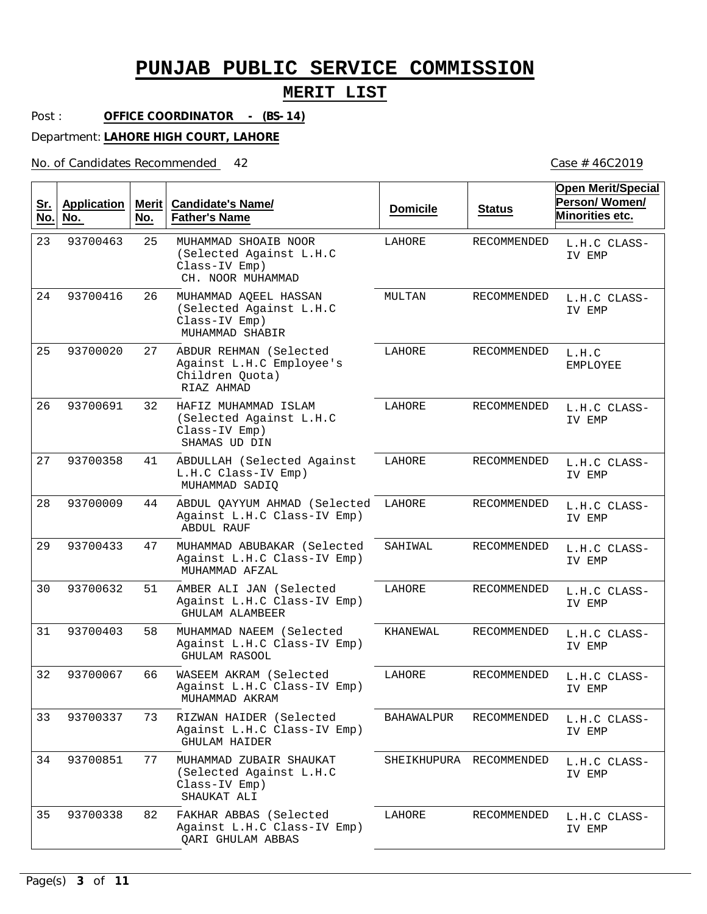### **MERIT LIST**

Post : **OFFICE COORDINATOR - (BS-14)**

Department: **LAHORE HIGH COURT, LAHORE**

No. of Candidates Recommended

25  $26$ 27 32 41 44 47 51 58 66 73 77 82 MUHAMMAD SHOAIB NOOR (Selected Against L.H.C Class-IV Emp) MUHAMMAD AQEEL HASSAN (Selected Against L.H.C Class-IV Emp) ABDUR REHMAN (Selected Against L.H.C Employee's Children Quota) HAFIZ MUHAMMAD ISLAM (Selected Against L.H.C Class-IV Emp) ABDULLAH (Selected Against L.H.C Class-IV Emp) ABDUL QAYYUM AHMAD (Selected Against L.H.C Class-IV Emp) MUHAMMAD ABUBAKAR (Selected Against L.H.C Class-IV Emp) AMBER ALI JAN (Selected Against L.H.C Class-IV Emp) MUHAMMAD NAEEM (Selected Against L.H.C Class-IV Emp) WASEEM AKRAM (Selected Against L.H.C Class-IV Emp) RIZWAN HAIDER (Selected Against L.H.C Class-IV Emp) MUHAMMAD ZUBAIR SHAUKAT (Selected Against L.H.C Class-IV Emp) FAKHAR ABBAS (Selected Against L.H.C Class-IV Emp) CH. NOOR MUHAMMAD MUHAMMAD SHABIR RIAZ AHMAD SHAMAS UD DIN MUHAMMAD SADIQ ABDUL RAUF MUHAMMAD AFZAL GHULAM ALAMBEER GHULAM RASOOL MUHAMMAD AKRAM GHULAM HAIDER SHAUKAT ALI QARI GHULAM ABBAS 23 24 25 26  $27$ 28 29 30 31 32 33 34 35 93700463 93700416 93700020 93700691 93700358 93700009 93700433 93700632 93700403 93700067 93700337 93700851 93700338 LAHORE MULTAN LAHORE LAHORE LAHORE LAHORE SAHIWAL LAHORE KHANEWAL LAHORE BAHAWALPUR SHEIKHUPURA RECOMMENDED LAHORE RECOMMENDED RECOMMENDED RECOMMENDED RECOMMENDED RECOMMENDED RECOMMENDED RECOMMENDED RECOMMENDED RECOMMENDED RECOMMENDED RECOMMENDED RECOMMENDED **Sr. No. Application No. Merit No. Candidate's Name/ Father's Name Domicile Status Open Merit/Special Person/ Women/ Minorities etc.** L.H.C CLASS-IV EMP L.H.C CLASS-IV EMP L.H.C EMPLOYEE L.H.C CLASS-IV EMP L.H.C CLASS-IV EMP L.H.C CLASS-IV EMP L.H.C CLASS-IV EMP L.H.C CLASS-IV EMP L.H.C CLASS-IV EMP L.H.C CLASS-IV EMP L.H.C CLASS-IV EMP L.H.C CLASS-IV EMP L.H.C CLASS-IV EMP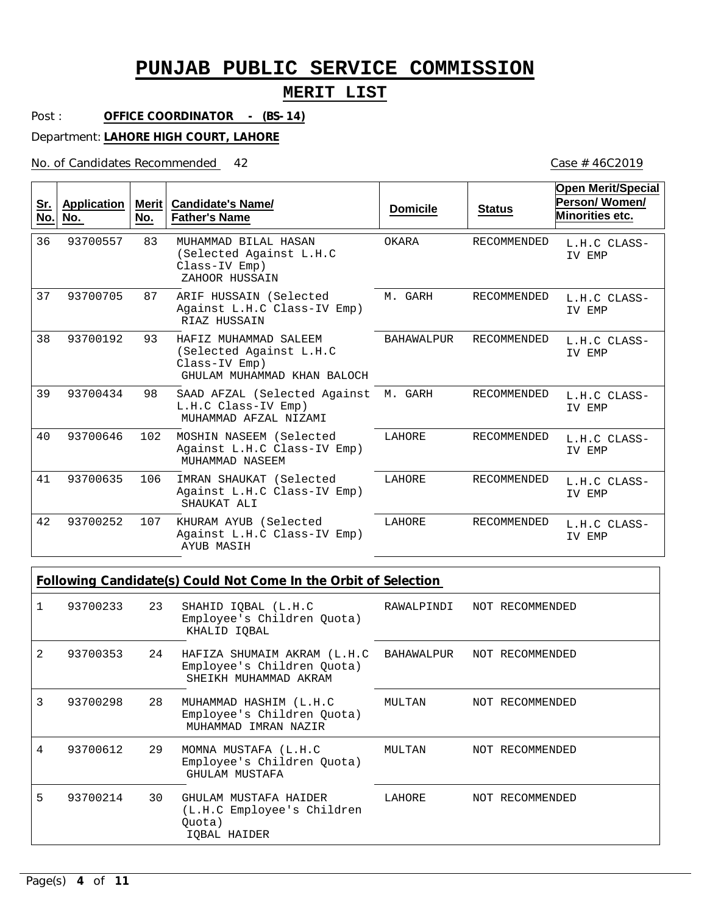## **MERIT LIST**

Post : **OFFICE COORDINATOR - (BS-14)**

Department: **LAHORE HIGH COURT, LAHORE**

No. of Candidates Recommended

| <u>Sr.</u><br>No. | <b>Application</b><br>No. | <b>Merit</b><br>No. | Candidate's Name/<br><b>Father's Name</b>                                                        | <b>Domicile</b>   | <b>Status</b>      | <b>Open Merit/Special</b><br>Person/Women/<br>Minorities etc. |
|-------------------|---------------------------|---------------------|--------------------------------------------------------------------------------------------------|-------------------|--------------------|---------------------------------------------------------------|
| 36                | 93700557                  | 83                  | MUHAMMAD RILAL HASAN<br>(Selected Against L.H.C<br>Class-IV Emp)<br>ZAHOOR HUSSAIN               | OKARA             | <b>RECOMMENDED</b> | L.H.C CLASS-<br>IV EMP                                        |
| 37                | 93700705                  | 87                  | ARIF HUSSAIN (Selected<br>Against L.H.C Class-IV Emp)<br>RIAZ HUSSAIN                            | M. GARH           | <b>RECOMMENDED</b> | L.H.C CLASS-<br>IV EMP                                        |
| 38                | 93700192                  | 93                  | HAFIZ MUHAMMAD SALEEM<br>(Selected Against L.H.C<br>Class-IV Emp)<br>GHULAM MUHAMMAD KHAN BALOCH | <b>BAHAWALPUR</b> | <b>RECOMMENDED</b> | L.H.C CLASS-<br>IV EMP                                        |
| 39                | 93700434                  | 98                  | SAAD AFZAL (Selected Against M. GARH<br>L.H.C Class-IV Emp)<br>MUHAMMAD AFZAL NIZAMI             |                   | RECOMMENDED        | L.H.C CLASS-<br>IV EMP                                        |
| 40                | 93700646                  | 102                 | MOSHIN NASEEM (Selected<br>Against L.H.C Class-IV Emp)<br>MUHAMMAD NASEEM                        | LAHORE            | <b>RECOMMENDED</b> | L.H.C CLASS-<br>IV EMP                                        |
| 41                | 93700635                  | 106                 | IMRAN SHAUKAT (Selected<br>Against L.H.C Class-IV Emp)<br>SHAUKAT ALI                            | LAHORE            | RECOMMENDED        | L.H.C CLASS-<br>IV EMP                                        |
| 42                | 93700252                  | 107                 | KHURAM AYUB (Selected<br>Against L.H.C Class-IV Emp)<br><b>AYUB MASIH</b>                        | LAHORE            | RECOMMENDED        | L.H.C CLASS-<br>IV EMP                                        |

| Following Candidate(s) Could Not Come In the Orbit of Selection |
|-----------------------------------------------------------------|
|                                                                 |
|                                                                 |

|                | 93700233 23 |    | SHAHID IQBAL (L.H.C<br>Employee's Children Quota)<br>KHALID IOBAL                              | RAWALPINDI NOT RECOMMENDED |                 |
|----------------|-------------|----|------------------------------------------------------------------------------------------------|----------------------------|-----------------|
| $\mathfrak{D}$ | 93700353    | 24 | HAFIZA SHUMAIM AKRAM (L.H.C) BAHAWALPUR<br>Employee's Children Quota)<br>SHEIKH MUHAMMAD AKRAM |                            | NOT RECOMMENDED |
| 3              | 93700298    | 28 | MUHAMMAD HASHIM (L.H.C<br>Employee's Children Quota)<br>MUHAMMAD IMRAN NAZIR                   | MULTAN                     | NOT RECOMMENDED |
| 4              | 93700612    | 29 | MOMNA MUSTAFA (L.H.C<br>Employee's Children Quota)<br>GHULAM MUSTAFA                           | MULTAN                     | NOT RECOMMENDED |
| 5              | 93700214    | 30 | GHULAM MUSTAFA HAIDER<br>(L.H.C Employee's Children<br>Ouota)<br>IOBAL HAIDER                  | LAHORE                     | NOT RECOMMENDED |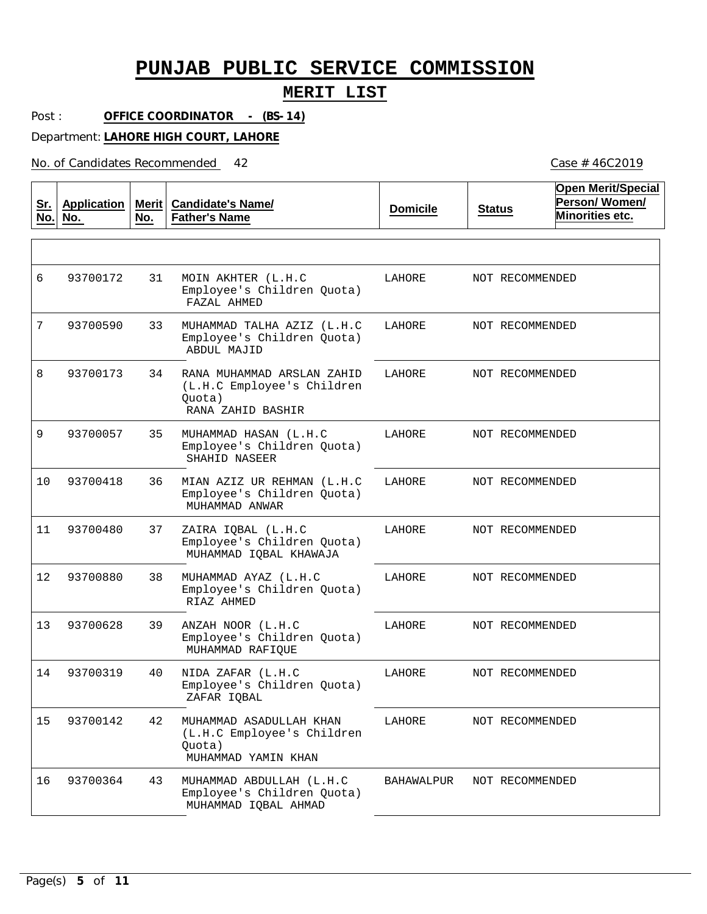### **MERIT LIST**

Post : **OFFICE COORDINATOR - (BS-14)**

Department: **LAHORE HIGH COURT, LAHORE**

No. of Candidates Recommended

| <u>Sr.</u><br>No. | <b>Application</b><br>No. | No. | Merit   Candidate's Name/<br><b>Father's Name</b>                                       | <b>Domicile</b> | <b>Status</b>   | <b>Open Merit/Special</b><br>Person/Women/<br>Minorities etc. |
|-------------------|---------------------------|-----|-----------------------------------------------------------------------------------------|-----------------|-----------------|---------------------------------------------------------------|
|                   |                           |     |                                                                                         |                 |                 |                                                               |
| 6                 | 93700172                  | 31  | MOIN AKHTER (L.H.C<br>Employee's Children Quota)<br>FAZAL AHMED                         | LAHORE          | NOT RECOMMENDED |                                                               |
| 7                 | 93700590                  | 33  | MUHAMMAD TALHA AZIZ (L.H.C<br>Employee's Children Quota)<br>ABDUL MAJID                 | LAHORE          | NOT RECOMMENDED |                                                               |
| 8                 | 93700173                  | 34  | RANA MUHAMMAD ARSLAN ZAHID<br>(L.H.C Employee's Children<br>Quota)<br>RANA ZAHID BASHIR | LAHORE          | NOT RECOMMENDED |                                                               |
| 9                 | 93700057                  | 35  | MUHAMMAD HASAN (L.H.C<br>Employee's Children Quota)<br>SHAHID NASEER                    | LAHORE          | NOT RECOMMENDED |                                                               |
| 10                | 93700418                  | 36  | MIAN AZIZ UR REHMAN (L.H.C<br>Employee's Children Quota)<br>MUHAMMAD ANWAR              | LAHORE          | NOT RECOMMENDED |                                                               |
| 11                | 93700480                  | 37  | ZAIRA IQBAL (L.H.C<br>Employee's Children Quota)<br>MUHAMMAD IQBAL KHAWAJA              | LAHORE          | NOT RECOMMENDED |                                                               |
| 12                | 93700880                  | 38  | MUHAMMAD AYAZ (L.H.C<br>Employee's Children Quota)<br>RIAZ AHMED                        | LAHORE          | NOT RECOMMENDED |                                                               |
| 13                | 93700628                  | 39  | ANZAH NOOR (L.H.C<br>Employee's Children Quota)<br>MUHAMMAD RAFIQUE                     | LAHORE          | NOT RECOMMENDED |                                                               |
| 14                | 93700319                  | 40  | NIDA ZAFAR (L.H.C<br>Employee's Children Quota)<br>ZAFAR IQBAL                          | LAHORE          | NOT RECOMMENDED |                                                               |
| 15                | 93700142                  | 42  | MUHAMMAD ASADULLAH KHAN<br>(L.H.C Employee's Children<br>Quota)<br>MUHAMMAD YAMIN KHAN  | LAHORE          | NOT RECOMMENDED |                                                               |
| 16                | 93700364                  | 43  | MUHAMMAD ABDULLAH (L.H.C<br>Employee's Children Quota)<br>MUHAMMAD IQBAL AHMAD          | BAHAWALPUR      | NOT RECOMMENDED |                                                               |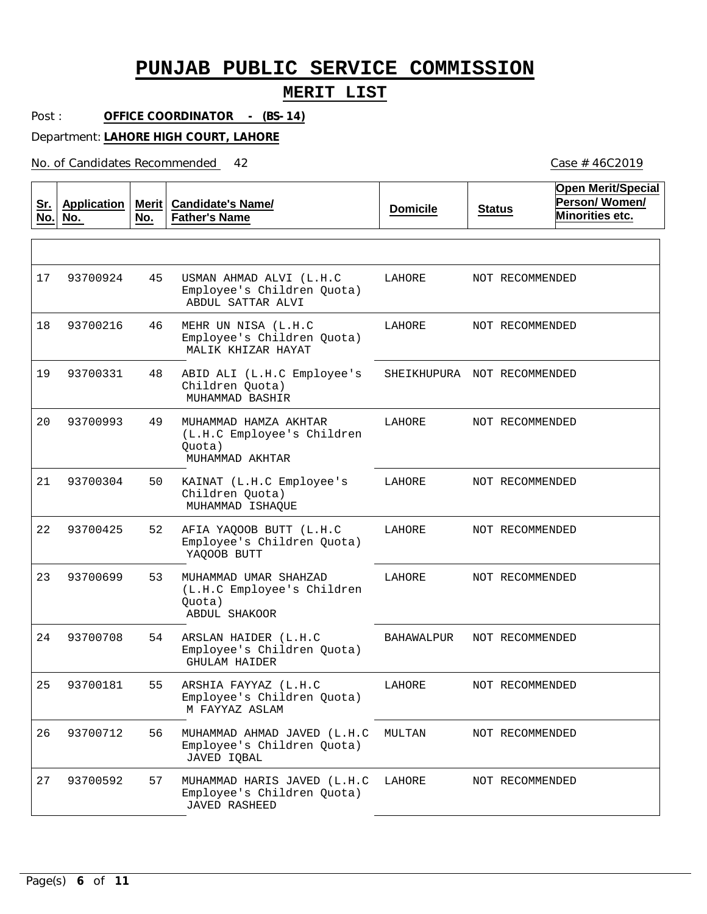### **MERIT LIST**

Post : **OFFICE COORDINATOR - (BS-14)**

Department: **LAHORE HIGH COURT, LAHORE**

No. of Candidates Recommended

**Sr. No. Application No. Merit Candidate's Name/ No. Father's Name Domicile Status Open Merit/Special Person/ Women/ Minorities etc.** 45 46 MEHR UN NISA (L.H.C 48 49 50 52 53 54 55 56 57 USMAN AHMAD ALVI (L.H.C Employee's Children Quota) Employee's Children Quota) ABID ALI (L.H.C Employee's Children Quota) MUHAMMAD HAMZA AKHTAR (L.H.C Employee's Children Quota) KAINAT (L.H.C Employee's Children Quota) AFIA YAQOOB BUTT (L.H.C Employee's Children Quota) MUHAMMAD UMAR SHAHZAD (L.H.C Employee's Children Quota) ARSLAN HAIDER (L.H.C Employee's Children Quota) ARSHIA FAYYAZ (L.H.C Employee's Children Quota) MUHAMMAD AHMAD JAVED (L.H.C MULTAN Employee's Children Quota) MUHAMMAD HARIS JAVED (L.H.C LAHORE Employee's Children Quota) ABDUL SATTAR ALVI MALIK KHIZAR HAYAT MUHAMMAD BASHIR MUHAMMAD AKHTAR MUHAMMAD ISHAQUE YAQOOB BUTT ABDUL SHAKOOR GHULAM HAIDER M FAYYAZ ASLAM JAVED IQBAL JAVED RASHEED 17 93700924 18 93700216 19 93700331 20 93700993 21 22 93700425 23 93700699 24 93700708 25 26 93700712 27 93700304 93700181 93700592 LAHORE LAHORE SHEIKHUPURA NOT RECOMMENDED LAHORE LAHORE LAHORE LAHORE BAHAWALPUR LAHORE NOT RECOMMENDED NOT RECOMMENDED NOT RECOMMENDED NOT RECOMMENDED NOT RECOMMENDED NOT RECOMMENDED NOT RECOMMENDED NOT RECOMMENDED NOT RECOMMENDED NOT RECOMMENDED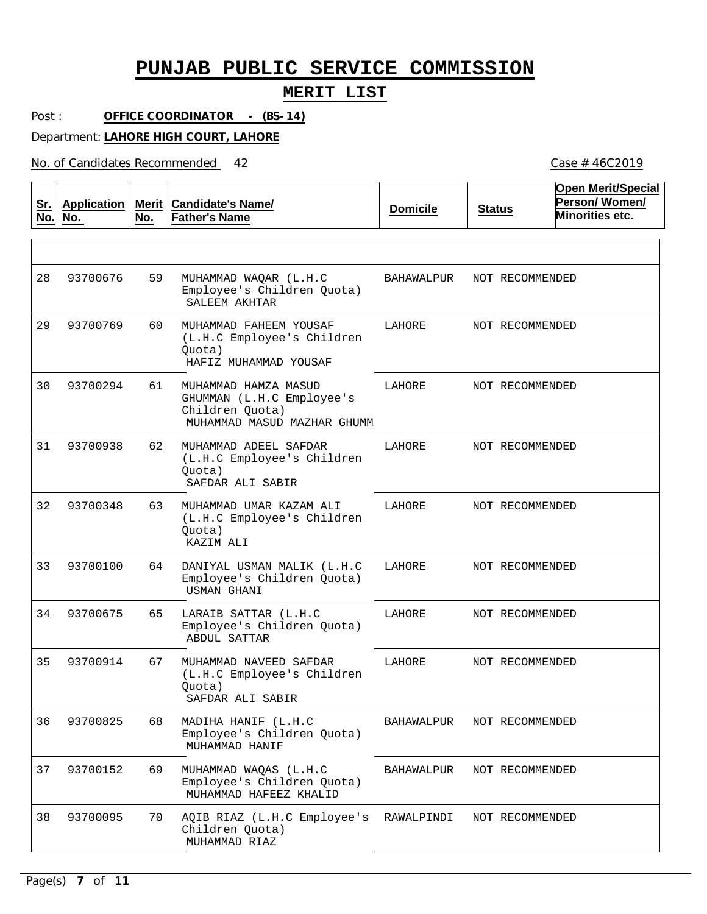### **MERIT LIST**

Post : **OFFICE COORDINATOR - (BS-14)**

Department: **LAHORE HIGH COURT, LAHORE**

No. of Candidates Recommended

| <u>Sr.</u><br>No. | <b>Application</b><br>No. | No. | Merit   Candidate's Name/<br><b>Father's Name</b>                                                   | <b>Domicile</b> | <b>Status</b>   | <b>Open Merit/Special</b><br>Person/Women/<br>Minorities etc. |
|-------------------|---------------------------|-----|-----------------------------------------------------------------------------------------------------|-----------------|-----------------|---------------------------------------------------------------|
|                   |                           |     |                                                                                                     |                 |                 |                                                               |
| 28                | 93700676                  | 59  | MUHAMMAD WAQAR (L.H.C<br>Employee's Children Quota)<br>SALEEM AKHTAR                                | BAHAWALPUR      | NOT RECOMMENDED |                                                               |
| 29                | 93700769                  | 60  | MUHAMMAD FAHEEM YOUSAF<br>(L.H.C Employee's Children<br>Quota)<br>HAFIZ MUHAMMAD YOUSAF             | LAHORE          | NOT RECOMMENDED |                                                               |
| 30                | 93700294                  | 61  | MUHAMMAD HAMZA MASUD<br>GHUMMAN (L.H.C Employee's<br>Children Quota)<br>MUHAMMAD MASUD MAZHAR GHUMM | LAHORE          | NOT RECOMMENDED |                                                               |
| 31                | 93700938                  | 62  | MUHAMMAD ADEEL SAFDAR<br>(L.H.C Employee's Children<br>Quota)<br>SAFDAR ALI SABIR                   | LAHORE          | NOT RECOMMENDED |                                                               |
| 32                | 93700348                  | 63  | MUHAMMAD UMAR KAZAM ALI<br>(L.H.C Employee's Children<br>Quota)<br>KAZIM ALI                        | LAHORE          | NOT RECOMMENDED |                                                               |
| 33                | 93700100                  | 64  | DANIYAL USMAN MALIK (L.H.C<br>Employee's Children Quota)<br>USMAN GHANI                             | LAHORE          | NOT RECOMMENDED |                                                               |
| 34                | 93700675                  | 65  | LARAIB SATTAR (L.H.C<br>Employee's Children Quota)<br>ABDUL SATTAR                                  | LAHORE          | NOT RECOMMENDED |                                                               |
| 35                | 93700914                  | 67  | MUHAMMAD NAVEED SAFDAR<br>(L.H.C Employee's Children<br>Ouota)<br>SAFDAR ALI SABIR                  | LAHORE          | NOT RECOMMENDED |                                                               |
| 36                | 93700825                  | 68  | MADIHA HANIF (L.H.C<br>Employee's Children Quota)<br>MUHAMMAD HANIF                                 | BAHAWALPUR      | NOT RECOMMENDED |                                                               |
| 37                | 93700152                  | 69  | MUHAMMAD WAQAS (L.H.C<br>Employee's Children Quota)<br>MUHAMMAD HAFEEZ KHALID                       | BAHAWALPUR      | NOT RECOMMENDED |                                                               |
| 38                | 93700095                  | 70  | AQIB RIAZ (L.H.C Employee's<br>Children Quota)<br>MUHAMMAD RIAZ                                     | RAWALPINDI      | NOT RECOMMENDED |                                                               |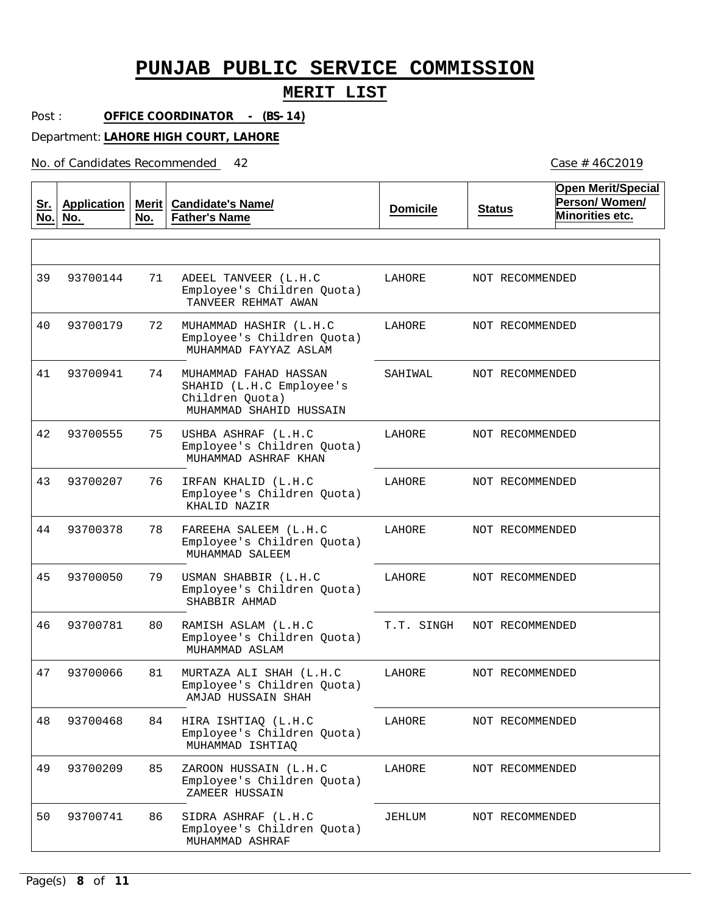### **MERIT LIST**

Post : **OFFICE COORDINATOR - (BS-14)**

Department: **LAHORE HIGH COURT, LAHORE**

No. of Candidates Recommended

**Sr. No. Application No. Merit No. Candidate's Name/ Father's Name Domicile Status Open Merit/Special Person/ Women/ Minorities etc.** 71 72 74 75 76 78 79 80 81 84 85 86 ADEEL TANVEER (L.H.C Employee's Children Quota) MUHAMMAD HASHIR (L.H.C Employee's Children Quota) MUHAMMAD FAHAD HASSAN SHAHID (L.H.C Employee's Children Quota) USHBA ASHRAF (L.H.C Employee's Children Quota) IRFAN KHALID (L.H.C Employee's Children Quota) FAREEHA SALEEM (L.H.C Employee's Children Quota) USMAN SHABBIR (L.H.C Employee's Children Quota) RAMISH ASLAM (L.H.C Employee's Children Quota) MURTAZA ALI SHAH (L.H.C Employee's Children Quota) HIRA ISHTIAQ (L.H.C Employee's Children Quota) ZAROON HUSSAIN (L.H.C Employee's Children Quota) SIDRA ASHRAF (L.H.C Employee's Children Quota) TANVEER REHMAT AWAN MUHAMMAD FAYYAZ ASLAM MUHAMMAD SHAHID HUSSAIN MUHAMMAD ASHRAF KHAN KHALID NAZIR MUHAMMAD SALEEM SHABBIR AHMAD MUHAMMAD ASLAM AMJAD HUSSAIN SHAH MUHAMMAD ISHTIAQ ZAMEER HUSSAIN MUHAMMAD ASHRAF 39 40 41 42 93700555 43 44 45 46 47 48 49 50 93700144 93700179 93700941 93700207 93700378 93700050 93700781 93700066 93700468 93700209 93700741 LAHORE LAHORE SAHIWAL LAHORE LAHORE LAHORE LAHORE T.T. SINGH LAHORE LAHORE LAHORE JEHLUM NOT RECOMMENDED NOT RECOMMENDED NOT RECOMMENDED NOT RECOMMENDED NOT RECOMMENDED NOT RECOMMENDED NOT RECOMMENDED NOT RECOMMENDED NOT RECOMMENDED NOT RECOMMENDED NOT RECOMMENDED NOT RECOMMENDED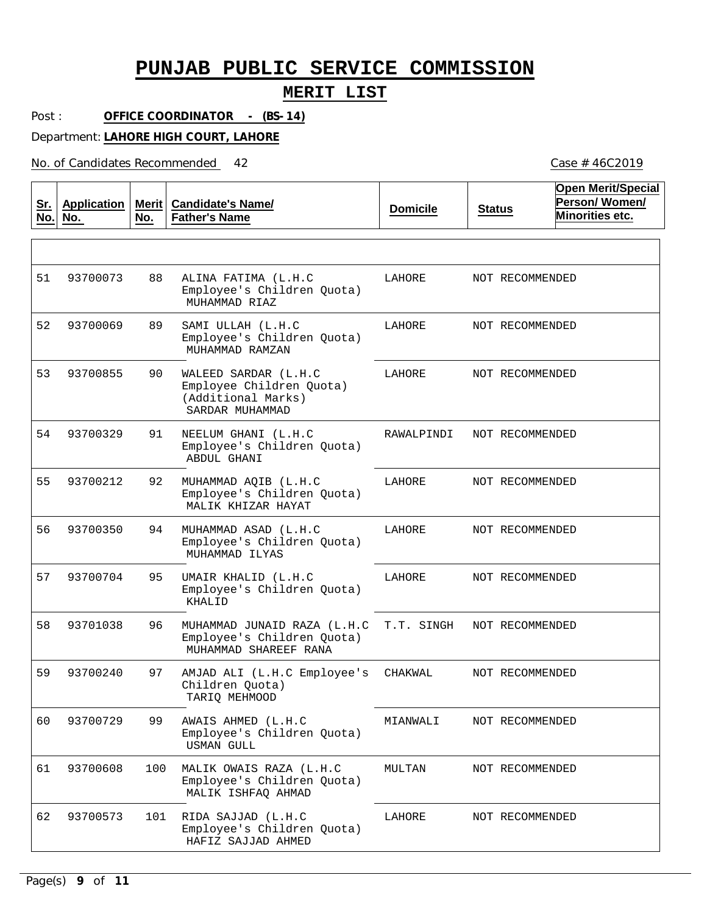#### **MERIT LIST**

Post : **OFFICE COORDINATOR - (BS-14)**

Department: **LAHORE HIGH COURT, LAHORE**

No. of Candidates Recommended

**Sr. No. Application No. Merit No. Candidate's Name/ Father's Name Domicile Status Open Merit/Special Person/ Women/ Minorities etc.** 88 89 90 91 92 94 95 96 97 99 100 MALIK OWAIS RAZA (L.H.C 101 RIDA SAJJAD (L.H.C ALINA FATIMA (L.H.C Employee's Children Quota) SAMI ULLAH (L.H.C Employee's Children Quota) WALEED SARDAR (L.H.C Employee Children Quota) (Additional Marks) NEELUM GHANI (L.H.C Employee's Children Quota) MUHAMMAD AQIB (L.H.C Employee's Children Quota) MUHAMMAD ASAD (L.H.C Employee's Children Quota) UMAIR KHALID (L.H.C Employee's Children Quota) MUHAMMAD JUNAID RAZA (L.H.C Employee's Children Quota) AMJAD ALI (L.H.C Employee's Children Quota) AWAIS AHMED (L.H.C Employee's Children Quota) Employee's Children Quota) Employee's Children Quota) MUHAMMAD RIAZ MUHAMMAD RAMZAN SARDAR MUHAMMAD ABDUL GHANI MALIK KHIZAR HAYAT MUHAMMAD ILYAS KHALID MUHAMMAD SHAREEF RANA TARIQ MEHMOOD USMAN GULL MALIK ISHFAQ AHMAD HAFIZ SAJJAD AHMED 51 52 93700069 53 54 93700329 55 56 57 58 59  $60$ 61 62 93700073 93700855 93700212 93700350 93700704 93701038 93700240 93700729 93700608 93700573 LAHORE LAHORE LAHORE RAWALPINDI LAHORE LAHORE LAHORE T.T. SINGH CHAKWAL MIANWALI MULTAN LAHORE NOT RECOMMENDED NOT RECOMMENDED NOT RECOMMENDED NOT RECOMMENDED NOT RECOMMENDED NOT RECOMMENDED NOT RECOMMENDED NOT RECOMMENDED NOT RECOMMENDED NOT RECOMMENDED NOT RECOMMENDED NOT RECOMMENDED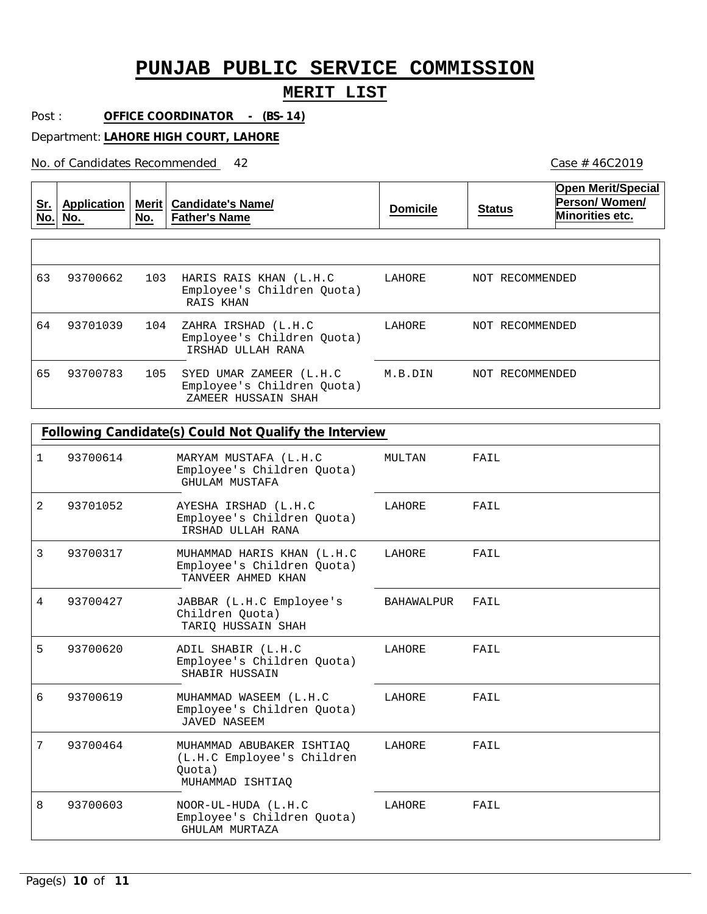### **MERIT LIST**

Case # 46C2019

Post : **OFFICE COORDINATOR - (BS-14)**

Department: **LAHORE HIGH COURT, LAHORE**

No. of Candidates Recommended

**Sr. No. Application No. Merit No. Candidate's Name/ Father's Name Domicile Status Open Merit/Special Person/ Women/ Minorities etc.** 103 HARIS RAIS KHAN (L.H.C 104 ZAHRA IRSHAD (L.H.C 105 SYED UMAR ZAMEER (L.H.C Employee's Children Quota) Employee's Children Quota) Employee's Children Quota) RAIS KHAN IRSHAD ULLAH RANA ZAMEER HUSSAIN SHAH 63 64 65 93700662 93701039 93700783 LAHORE LAHORE M.B.DIN NOT RECOMMENDED NOT RECOMMENDED NOT RECOMMENDED

|   |          | Following Candidate(s) Could Not Qualify the Interview                                |            |      |
|---|----------|---------------------------------------------------------------------------------------|------------|------|
|   |          |                                                                                       |            |      |
| 1 | 93700614 | MARYAM MUSTAFA (L.H.C<br>Employee's Children Ouota)<br>GHULAM MUSTAFA                 | MULTAN     | FAIL |
| 2 | 93701052 | AYESHA IRSHAD (L.H.C<br>Employee's Children Quota)<br>IRSHAD ULLAH RANA               | LAHORE     | FAIL |
| 3 | 93700317 | MUHAMMAD HARIS KHAN (L.H.C<br>Employee's Children Quota)<br>TANVEER AHMED KHAN        | LAHORE     | FAIL |
| 4 | 93700427 | JABBAR (L.H.C Employee's<br>Children Quota)<br>TARIO HUSSAIN SHAH                     | BAHAWALPUR | FAIL |
| 5 | 93700620 | ADIL SHABIR (L.H.C<br>Employee's Children Quota)<br>SHABIR HUSSAIN                    | LAHORE     | FAIL |
| 6 | 93700619 | MUHAMMAD WASEEM (L.H.C<br>Employee's Children Quota)<br>JAVED NASEEM                  | LAHORE     | FAIL |
| 7 | 93700464 | MUHAMMAD ABUBAKER ISHTIAO<br>(L.H.C Employee's Children<br>Ouota)<br>MUHAMMAD ISHTIAO | LAHORE     | FAIL |
| 8 | 93700603 | NOOR-UL-HUDA (L.H.C<br>Employee's Children Quota)<br>GHULAM MURTAZA                   | LAHORE     | FAIL |